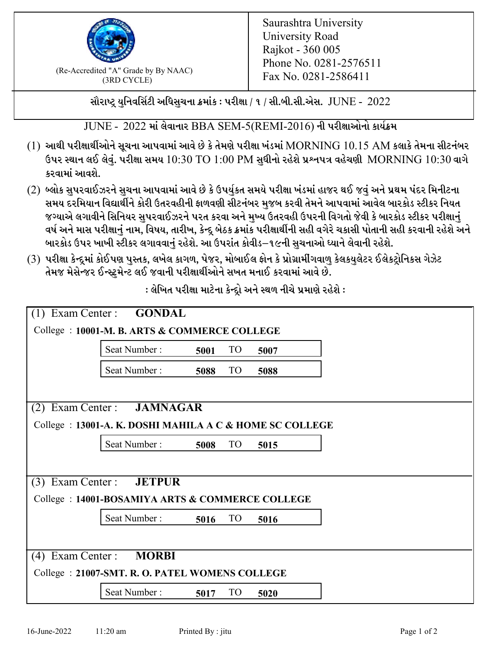

 $F_{\text{R}}$  (Re-Accredited "A" Grade by By NAAC)<br>(3PD CVCLE)<br> $F_{\text{R}}$  No. 0281-2586411 (3RD CYCLE)

સૌરાષ્ટ્ર યુનિવર્સિટી અધિસુચના ક્રમાંક : પરીક્ષા / ૧ / સી.બી.સી.એસ.  $\,$  JUNE -  $\,2022$ 

 $JUNE - 2022$  માં લેવાનાર BBA SEM-5(REMI-2016) ની પરીક્ષાઓનો કાર્યક્રમ

- $(1)$  આથી પરીક્ષાર્થીઓને સૂચના આપવામાં આવે છે કે તેમણે પરીક્ષા ખંડમાં  $\operatorname{MORNING}$   $10.15$   $\operatorname{AM}$  કલાકે તેમના સીટનંબર ઉપર સ્થાન લઈ લેવું. પરીક્ષા સમય  $10:30 \text{ TO } 1:00 \text{ PM}$  સુધીનો રહેશે પ્રશ્નપત્ર વહેચણી  $\text{MORNING } 10:30$  વાગે કરવામાં આવશે.
- (2) બ્લોક સુપરવાઈઝરને સુચના આપવામાં આવે છે કે ઉપર્યુકત સમયે પરીક્ષા ખંડમાં હાજર થઈ જવું અને પ્રથમ પંદર મિનીટના સમય દરમિયાન વિદ્યાર્થીને કોરી ઉતરવહીની ફાળવણી સીટનંબર મજબ કરવી તેમને આપવામાં આવેલ બારકોડ સ્ટીકર નિયત જગ્યાએ લગાવીને સિનિયર સુપરવાઈઝરને પરત કરવા અને મુખ્ય ઉતરવહી ઉપરની વિગતો જેવી કે બારકોડ સ્ટીકર પરીક્ષ<u>ાન</u>ં વર્ષ અને માસ પરીક્ષાનું નામ, વિષય, તારીખ, કેન્દ્ર બેઠક ક્રમાંક પરીક્ષાર્થીની સહી વગેરે ચકાસી પોતાની સહી કરવાની રહેશે અને બારકોડ ઉપર ખાખી સ્ટીકર લગાવવાનં રહેશે. આ ઉપરાંત કોવીડ–૧૯ની સચનાઓ ધ્યાને લેવાની રહેશે.
- (3) પરીક્ષા કેન્દ્રમાં કોઈપણ પુસ્તક, લખેલ કાગળ, પેજર, મોબાઈલ ફોન કે પ્રોગ્રામીંગવાળુ કેલકયુલેટર ઈલેકટ્રોનિકસ ગેઝેટ તેમજ મેસેન્જર ઈન્સ્ટ્રુમેન્ટ લઈ જવાની પરીક્ષાર્થીઓને સખત મનાઈ કરવામાં આવે છે.

|                                                          | $(1)$ Exam Center : <b>GONDAL</b> |      |                 |      |  |  |  |
|----------------------------------------------------------|-----------------------------------|------|-----------------|------|--|--|--|
| College: 10001-M. B. ARTS & COMMERCE COLLEGE             |                                   |      |                 |      |  |  |  |
|                                                          | Seat Number:                      | 5001 | TO <sub>1</sub> | 5007 |  |  |  |
|                                                          | Seat Number:                      | 5088 | TO <sub>1</sub> | 5088 |  |  |  |
|                                                          |                                   |      |                 |      |  |  |  |
| <b>JAMNAGAR</b><br>$(2)$ Exam Center :                   |                                   |      |                 |      |  |  |  |
| College : 13001-A. K. DOSHI MAHILA A C & HOME SC COLLEGE |                                   |      |                 |      |  |  |  |
|                                                          | Seat Number:                      | 5008 | <b>TO</b>       | 5015 |  |  |  |
|                                                          |                                   |      |                 |      |  |  |  |
| Exam Center :<br>(3)                                     | <b>JETPUR</b>                     |      |                 |      |  |  |  |
| College: 14001-BOSAMIYA ARTS & COMMERCE COLLEGE          |                                   |      |                 |      |  |  |  |
|                                                          | Seat Number:                      | 5016 | TO <sub>1</sub> | 5016 |  |  |  |
|                                                          |                                   |      |                 |      |  |  |  |
| Exam Center :<br><b>MORBI</b><br>(4)                     |                                   |      |                 |      |  |  |  |
| College: 21007-SMT. R. O. PATEL WOMENS COLLEGE           |                                   |      |                 |      |  |  |  |
|                                                          | Seat Number:                      | 5017 | <b>TO</b>       | 5020 |  |  |  |

: લેખિત પરીક્ષા માટેના કેન્દ્રો અને સ્થળ નીચે પ્રમાણે રહેશે :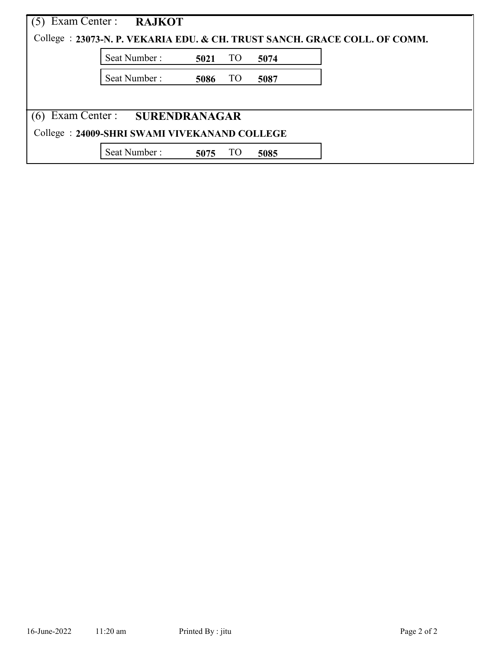|                                              | Exam Center : RAJKOT |      |                 |      | College : 23073-N. P. VEKARIA EDU. & CH. TRUST SANCH. GRACE COLL. OF COMM. |  |  |  |
|----------------------------------------------|----------------------|------|-----------------|------|----------------------------------------------------------------------------|--|--|--|
|                                              | Seat Number:         | 5021 | TO <sub>1</sub> | 5074 |                                                                            |  |  |  |
|                                              | Seat Number:         | 5086 | <b>TO</b>       | 5087 |                                                                            |  |  |  |
|                                              |                      |      |                 |      |                                                                            |  |  |  |
| Exam Center : SURENDRANAGAR                  |                      |      |                 |      |                                                                            |  |  |  |
| College: 24009-SHRI SWAMI VIVEKANAND COLLEGE |                      |      |                 |      |                                                                            |  |  |  |
|                                              | Seat Number:         | 5075 | TO              | 5085 |                                                                            |  |  |  |